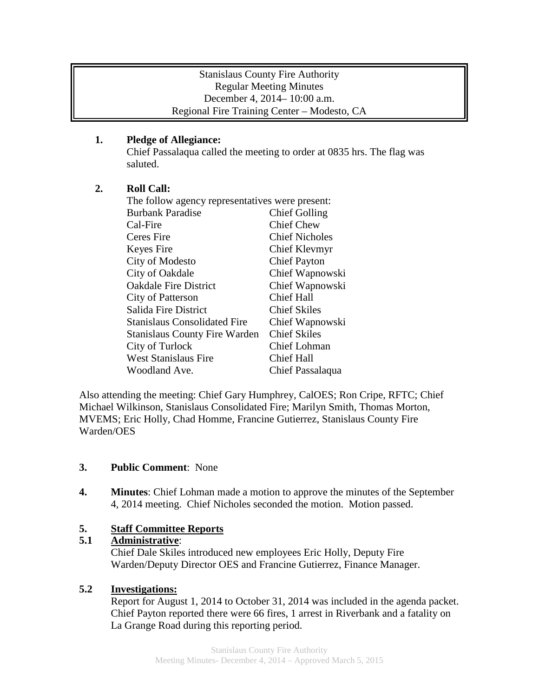### Stanislaus County Fire Authority Regular Meeting Minutes December 4, 2014– 10:00 a.m. Regional Fire Training Center – Modesto, CA

## **1. Pledge of Allegiance:**

Chief Passalaqua called the meeting to order at 0835 hrs. The flag was saluted.

# **2. Roll Call:**

| The follow agency representatives were present: |                       |
|-------------------------------------------------|-----------------------|
| <b>Burbank Paradise</b>                         | <b>Chief Golling</b>  |
| Cal-Fire                                        | <b>Chief Chew</b>     |
| Ceres Fire                                      | <b>Chief Nicholes</b> |
| Keyes Fire                                      | Chief Klevmyr         |
| City of Modesto                                 | <b>Chief Payton</b>   |
| City of Oakdale                                 | Chief Wapnowski       |
| <b>Oakdale Fire District</b>                    | Chief Wapnowski       |
| City of Patterson                               | <b>Chief Hall</b>     |
| Salida Fire District                            | <b>Chief Skiles</b>   |
| <b>Stanislaus Consolidated Fire</b>             | Chief Wapnowski       |
| <b>Stanislaus County Fire Warden</b>            | <b>Chief Skiles</b>   |
| City of Turlock                                 | Chief Lohman          |
| <b>West Stanislaus Fire</b>                     | <b>Chief Hall</b>     |
| Woodland Ave.                                   | Chief Passalaqua      |

Also attending the meeting: Chief Gary Humphrey, CalOES; Ron Cripe, RFTC; Chief Michael Wilkinson, Stanislaus Consolidated Fire; Marilyn Smith, Thomas Morton, MVEMS; Eric Holly, Chad Homme, Francine Gutierrez, Stanislaus County Fire Warden/OES

### **3. Public Comment**: None

**4. Minutes**: Chief Lohman made a motion to approve the minutes of the September 4, 2014 meeting. Chief Nicholes seconded the motion. Motion passed.

# **5. Staff Committee Reports**

### **5.1 Administrative**:

Chief Dale Skiles introduced new employees Eric Holly, Deputy Fire Warden/Deputy Director OES and Francine Gutierrez, Finance Manager.

### **5.2 Investigations:**

Report for August 1, 2014 to October 31, 2014 was included in the agenda packet. Chief Payton reported there were 66 fires, 1 arrest in Riverbank and a fatality on La Grange Road during this reporting period.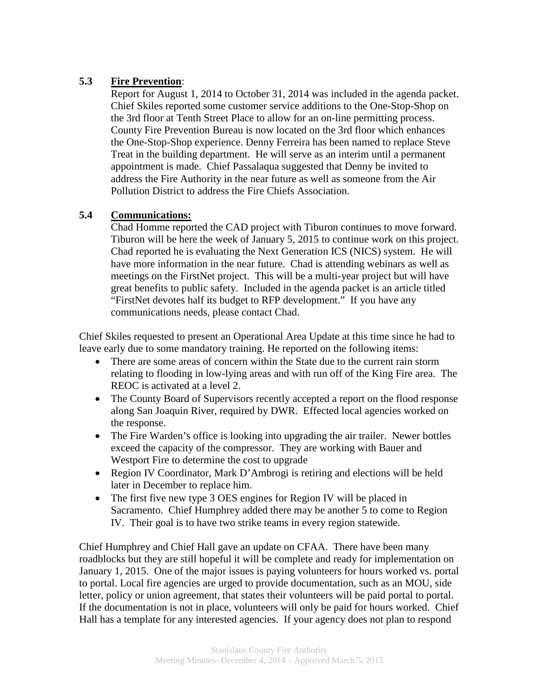## **5.3 Fire Prevention**:

Report for August 1, 2014 to October 31, 2014 was included in the agenda packet. Chief Skiles reported some customer service additions to the One-Stop-Shop on the 3rd floor at Tenth Street Place to allow for an on-line permitting process. County Fire Prevention Bureau is now located on the 3rd floor which enhances the One-Stop-Shop experience. Denny Ferreira has been named to replace Steve Treat in the building department. He will serve as an interim until a permanent appointment is made. Chief Passalaqua suggested that Denny be invited to address the Fire Authority in the near future as well as someone from the Air Pollution District to address the Fire Chiefs Association.

## **5.4 Communications:**

Chad Homme reported the CAD project with Tiburon continues to move forward. Tiburon will be here the week of January 5, 2015 to continue work on this project. Chad reported he is evaluating the Next Generation ICS (NICS) system. He will have more information in the near future. Chad is attending webinars as well as meetings on the FirstNet project. This will be a multi-year project but will have great benefits to public safety. Included in the agenda packet is an article titled "FirstNet devotes half its budget to RFP development." If you have any communications needs, please contact Chad.

Chief Skiles requested to present an Operational Area Update at this time since he had to leave early due to some mandatory training. He reported on the following items:

- There are some areas of concern within the State due to the current rain storm relating to flooding in low-lying areas and with run off of the King Fire area. The REOC is activated at a level 2.
- The County Board of Supervisors recently accepted a report on the flood response along San Joaquin River, required by DWR. Effected local agencies worked on the response.
- The Fire Warden's office is looking into upgrading the air trailer. Newer bottles exceed the capacity of the compressor. They are working with Bauer and Westport Fire to determine the cost to upgrade
- Region IV Coordinator, Mark D'Ambrogi is retiring and elections will be held later in December to replace him.
- The first five new type 3 OES engines for Region IV will be placed in Sacramento. Chief Humphrey added there may be another 5 to come to Region IV. Their goal is to have two strike teams in every region statewide.

Chief Humphrey and Chief Hall gave an update on CFAA. There have been many roadblocks but they are still hopeful it will be complete and ready for implementation on January 1, 2015. One of the major issues is paying volunteers for hours worked vs. portal to portal. Local fire agencies are urged to provide documentation, such as an MOU, side letter, policy or union agreement, that states their volunteers will be paid portal to portal. If the documentation is not in place, volunteers will only be paid for hours worked. Chief Hall has a template for any interested agencies. If your agency does not plan to respond